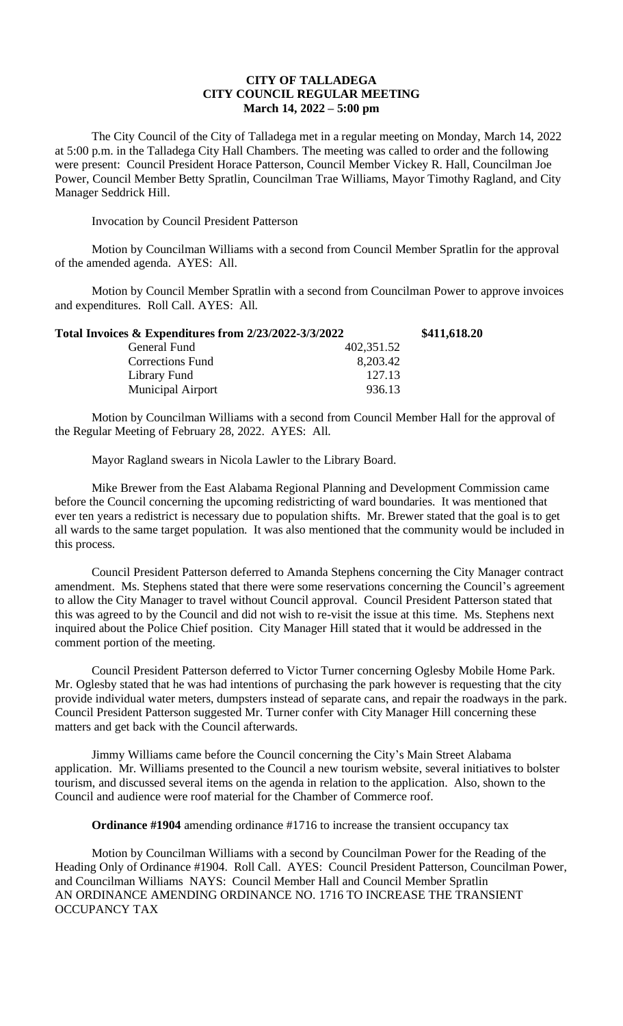## **CITY OF TALLADEGA CITY COUNCIL REGULAR MEETING March 14, 2022 – 5:00 pm**

The City Council of the City of Talladega met in a regular meeting on Monday, March 14, 2022 at 5:00 p.m. in the Talladega City Hall Chambers. The meeting was called to order and the following were present: Council President Horace Patterson, Council Member Vickey R. Hall, Councilman Joe Power, Council Member Betty Spratlin, Councilman Trae Williams, Mayor Timothy Ragland, and City Manager Seddrick Hill.

Invocation by Council President Patterson

Motion by Councilman Williams with a second from Council Member Spratlin for the approval of the amended agenda. AYES: All.

Motion by Council Member Spratlin with a second from Councilman Power to approve invoices and expenditures. Roll Call. AYES: All.

| Total Invoices & Expenditures from 2/23/2022-3/3/2022 |            | \$411,618.20 |
|-------------------------------------------------------|------------|--------------|
| General Fund                                          | 402,351.52 |              |
| <b>Corrections Fund</b>                               | 8,203.42   |              |
| Library Fund                                          | 127.13     |              |
| <b>Municipal Airport</b>                              | 936.13     |              |

Motion by Councilman Williams with a second from Council Member Hall for the approval of the Regular Meeting of February 28, 2022. AYES: All.

Mayor Ragland swears in Nicola Lawler to the Library Board.

Mike Brewer from the East Alabama Regional Planning and Development Commission came before the Council concerning the upcoming redistricting of ward boundaries. It was mentioned that ever ten years a redistrict is necessary due to population shifts. Mr. Brewer stated that the goal is to get all wards to the same target population. It was also mentioned that the community would be included in this process.

Council President Patterson deferred to Amanda Stephens concerning the City Manager contract amendment. Ms. Stephens stated that there were some reservations concerning the Council's agreement to allow the City Manager to travel without Council approval. Council President Patterson stated that this was agreed to by the Council and did not wish to re-visit the issue at this time. Ms. Stephens next inquired about the Police Chief position. City Manager Hill stated that it would be addressed in the comment portion of the meeting.

Council President Patterson deferred to Victor Turner concerning Oglesby Mobile Home Park. Mr. Oglesby stated that he was had intentions of purchasing the park however is requesting that the city provide individual water meters, dumpsters instead of separate cans, and repair the roadways in the park. Council President Patterson suggested Mr. Turner confer with City Manager Hill concerning these matters and get back with the Council afterwards.

Jimmy Williams came before the Council concerning the City's Main Street Alabama application. Mr. Williams presented to the Council a new tourism website, several initiatives to bolster tourism, and discussed several items on the agenda in relation to the application. Also, shown to the Council and audience were roof material for the Chamber of Commerce roof.

**Ordinance #1904** amending ordinance #1716 to increase the transient occupancy tax

Motion by Councilman Williams with a second by Councilman Power for the Reading of the Heading Only of Ordinance #1904. Roll Call. AYES: Council President Patterson, Councilman Power, and Councilman Williams NAYS: Council Member Hall and Council Member Spratlin AN ORDINANCE AMENDING ORDINANCE NO. 1716 TO INCREASE THE TRANSIENT OCCUPANCY TAX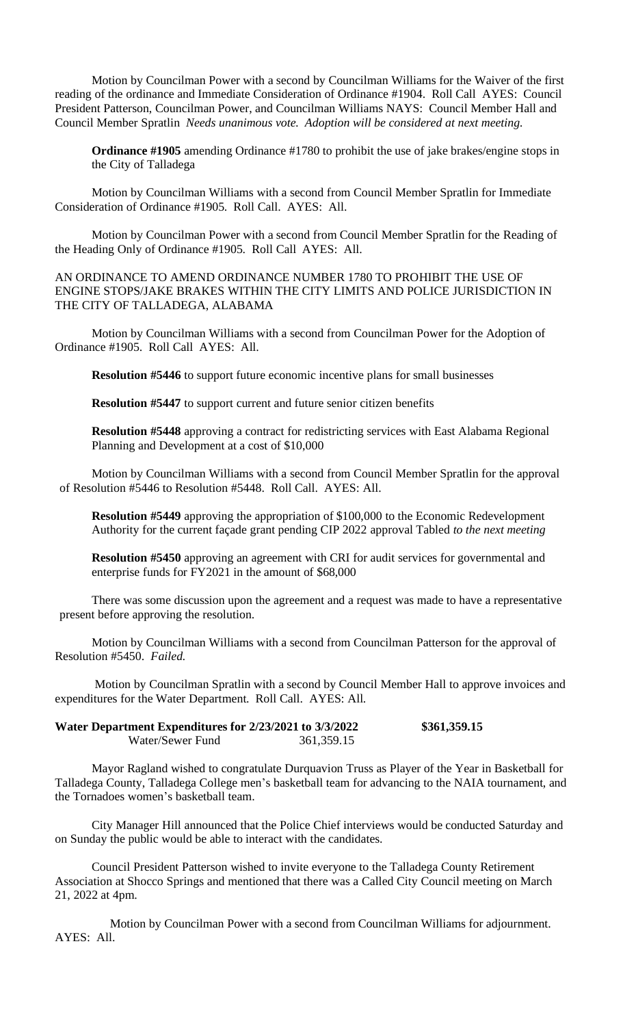Motion by Councilman Power with a second by Councilman Williams for the Waiver of the first reading of the ordinance and Immediate Consideration of Ordinance #1904. Roll Call AYES: Council President Patterson, Councilman Power, and Councilman Williams NAYS: Council Member Hall and Council Member Spratlin *Needs unanimous vote. Adoption will be considered at next meeting.*

**Ordinance #1905** amending Ordinance #1780 to prohibit the use of jake brakes/engine stops in the City of Talladega

Motion by Councilman Williams with a second from Council Member Spratlin for Immediate Consideration of Ordinance #1905. Roll Call. AYES: All.

Motion by Councilman Power with a second from Council Member Spratlin for the Reading of the Heading Only of Ordinance #1905. Roll Call AYES: All.

AN ORDINANCE TO AMEND ORDINANCE NUMBER 1780 TO PROHIBIT THE USE OF ENGINE STOPS/JAKE BRAKES WITHIN THE CITY LIMITS AND POLICE JURISDICTION IN THE CITY OF TALLADEGA, ALABAMA

Motion by Councilman Williams with a second from Councilman Power for the Adoption of Ordinance #1905. Roll Call AYES: All.

**Resolution #5446** to support future economic incentive plans for small businesses

**Resolution #5447** to support current and future senior citizen benefits

**Resolution #5448** approving a contract for redistricting services with East Alabama Regional Planning and Development at a cost of \$10,000

Motion by Councilman Williams with a second from Council Member Spratlin for the approval of Resolution #5446 to Resolution #5448. Roll Call. AYES: All.

**Resolution #5449** approving the appropriation of \$100,000 to the Economic Redevelopment Authority for the current façade grant pending CIP 2022 approval Tabled *to the next meeting*

**Resolution #5450** approving an agreement with CRI for audit services for governmental and enterprise funds for FY2021 in the amount of \$68,000

There was some discussion upon the agreement and a request was made to have a representative present before approving the resolution.

Motion by Councilman Williams with a second from Councilman Patterson for the approval of Resolution #5450. *Failed.* 

Motion by Councilman Spratlin with a second by Council Member Hall to approve invoices and expenditures for the Water Department. Roll Call. AYES: All.

| Water Department Expenditures for 2/23/2021 to 3/3/2022 |              | \$361,359.15 |
|---------------------------------------------------------|--------------|--------------|
| Water/Sewer Fund                                        | 361, 359. 15 |              |

Mayor Ragland wished to congratulate Durquavion Truss as Player of the Year in Basketball for Talladega County, Talladega College men's basketball team for advancing to the NAIA tournament, and the Tornadoes women's basketball team.

City Manager Hill announced that the Police Chief interviews would be conducted Saturday and on Sunday the public would be able to interact with the candidates.

Council President Patterson wished to invite everyone to the Talladega County Retirement Association at Shocco Springs and mentioned that there was a Called City Council meeting on March 21, 2022 at 4pm.

Motion by Councilman Power with a second from Councilman Williams for adjournment. AYES: All.